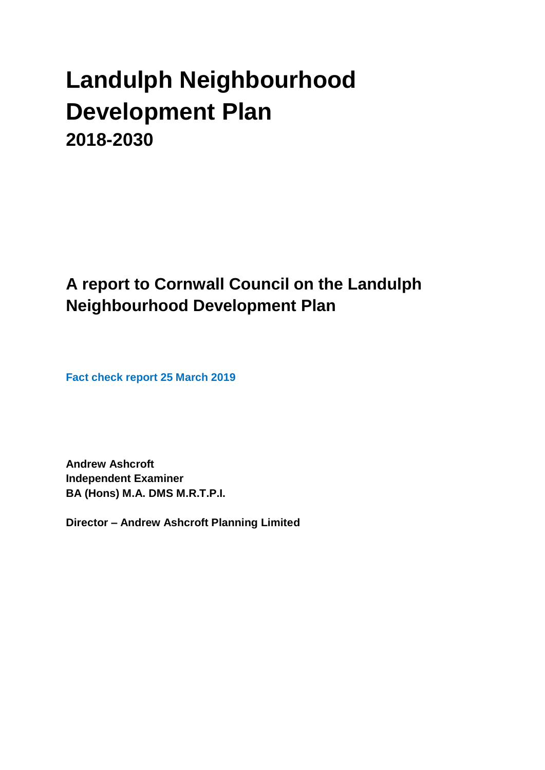# **Landulph Neighbourhood Development Plan 2018-2030**

**A report to Cornwall Council on the Landulph Neighbourhood Development Plan**

**Fact check report 25 March 2019**

**Andrew Ashcroft Independent Examiner BA (Hons) M.A. DMS M.R.T.P.I.**

**Director – Andrew Ashcroft Planning Limited**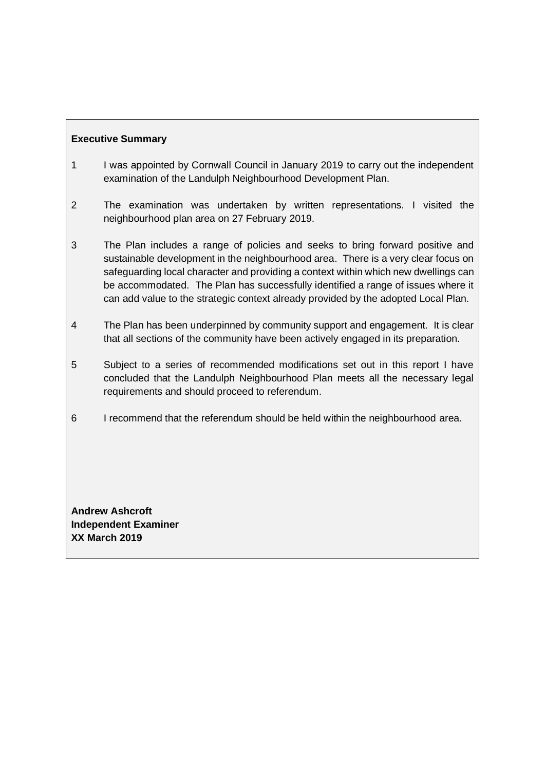# **Executive Summary**

- 1 I was appointed by Cornwall Council in January 2019 to carry out the independent examination of the Landulph Neighbourhood Development Plan.
- 2 The examination was undertaken by written representations. I visited the neighbourhood plan area on 27 February 2019.
- 3 The Plan includes a range of policies and seeks to bring forward positive and sustainable development in the neighbourhood area. There is a very clear focus on safeguarding local character and providing a context within which new dwellings can be accommodated. The Plan has successfully identified a range of issues where it can add value to the strategic context already provided by the adopted Local Plan.
- 4 The Plan has been underpinned by community support and engagement. It is clear that all sections of the community have been actively engaged in its preparation.
- 5 Subject to a series of recommended modifications set out in this report I have concluded that the Landulph Neighbourhood Plan meets all the necessary legal requirements and should proceed to referendum.
- 6 I recommend that the referendum should be held within the neighbourhood area.

**Andrew Ashcroft Independent Examiner XX March 2019**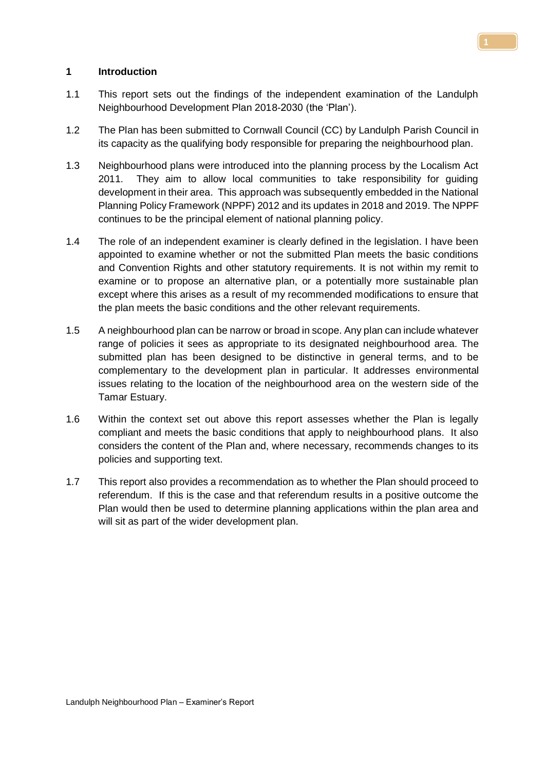## **1 Introduction**

- 1.1 This report sets out the findings of the independent examination of the Landulph Neighbourhood Development Plan 2018-2030 (the 'Plan').
- 1.2 The Plan has been submitted to Cornwall Council (CC) by Landulph Parish Council in its capacity as the qualifying body responsible for preparing the neighbourhood plan.
- 1.3 Neighbourhood plans were introduced into the planning process by the Localism Act 2011. They aim to allow local communities to take responsibility for guiding development in their area. This approach was subsequently embedded in the National Planning Policy Framework (NPPF) 2012 and its updates in 2018 and 2019. The NPPF continues to be the principal element of national planning policy.
- 1.4 The role of an independent examiner is clearly defined in the legislation. I have been appointed to examine whether or not the submitted Plan meets the basic conditions and Convention Rights and other statutory requirements. It is not within my remit to examine or to propose an alternative plan, or a potentially more sustainable plan except where this arises as a result of my recommended modifications to ensure that the plan meets the basic conditions and the other relevant requirements.
- 1.5 A neighbourhood plan can be narrow or broad in scope. Any plan can include whatever range of policies it sees as appropriate to its designated neighbourhood area. The submitted plan has been designed to be distinctive in general terms, and to be complementary to the development plan in particular. It addresses environmental issues relating to the location of the neighbourhood area on the western side of the Tamar Estuary.
- 1.6 Within the context set out above this report assesses whether the Plan is legally compliant and meets the basic conditions that apply to neighbourhood plans. It also considers the content of the Plan and, where necessary, recommends changes to its policies and supporting text.
- 1.7 This report also provides a recommendation as to whether the Plan should proceed to referendum. If this is the case and that referendum results in a positive outcome the Plan would then be used to determine planning applications within the plan area and will sit as part of the wider development plan.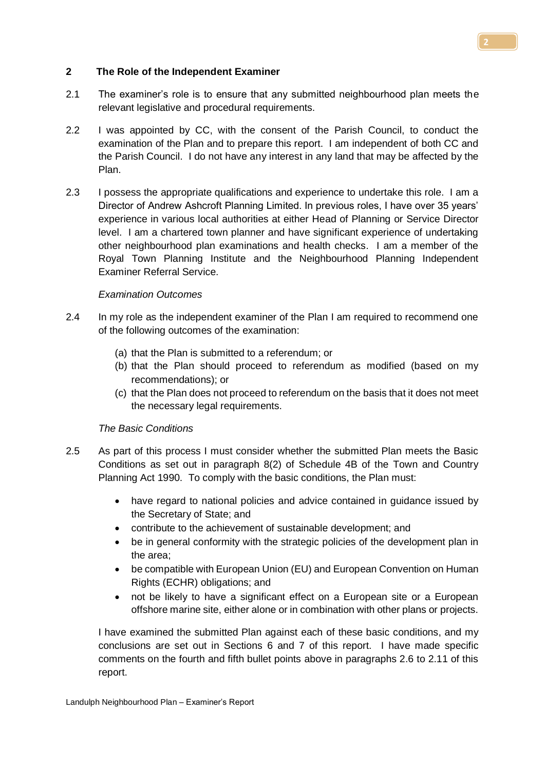## **2 The Role of the Independent Examiner**

- 2.1 The examiner's role is to ensure that any submitted neighbourhood plan meets the relevant legislative and procedural requirements.
- 2.2 I was appointed by CC, with the consent of the Parish Council, to conduct the examination of the Plan and to prepare this report. I am independent of both CC and the Parish Council. I do not have any interest in any land that may be affected by the Plan.
- 2.3 I possess the appropriate qualifications and experience to undertake this role. I am a Director of Andrew Ashcroft Planning Limited. In previous roles, I have over 35 years' experience in various local authorities at either Head of Planning or Service Director level. I am a chartered town planner and have significant experience of undertaking other neighbourhood plan examinations and health checks. I am a member of the Royal Town Planning Institute and the Neighbourhood Planning Independent Examiner Referral Service.

#### *Examination Outcomes*

- 2.4 In my role as the independent examiner of the Plan I am required to recommend one of the following outcomes of the examination:
	- (a) that the Plan is submitted to a referendum; or
	- (b) that the Plan should proceed to referendum as modified (based on my recommendations); or
	- (c) that the Plan does not proceed to referendum on the basis that it does not meet the necessary legal requirements.

# *The Basic Conditions*

- 2.5 As part of this process I must consider whether the submitted Plan meets the Basic Conditions as set out in paragraph 8(2) of Schedule 4B of the Town and Country Planning Act 1990. To comply with the basic conditions, the Plan must:
	- have regard to national policies and advice contained in guidance issued by the Secretary of State; and
	- contribute to the achievement of sustainable development; and
	- be in general conformity with the strategic policies of the development plan in the area;
	- be compatible with European Union (EU) and European Convention on Human Rights (ECHR) obligations; and
	- not be likely to have a significant effect on a European site or a European offshore marine site, either alone or in combination with other plans or projects.

I have examined the submitted Plan against each of these basic conditions, and my conclusions are set out in Sections 6 and 7 of this report. I have made specific comments on the fourth and fifth bullet points above in paragraphs 2.6 to 2.11 of this report.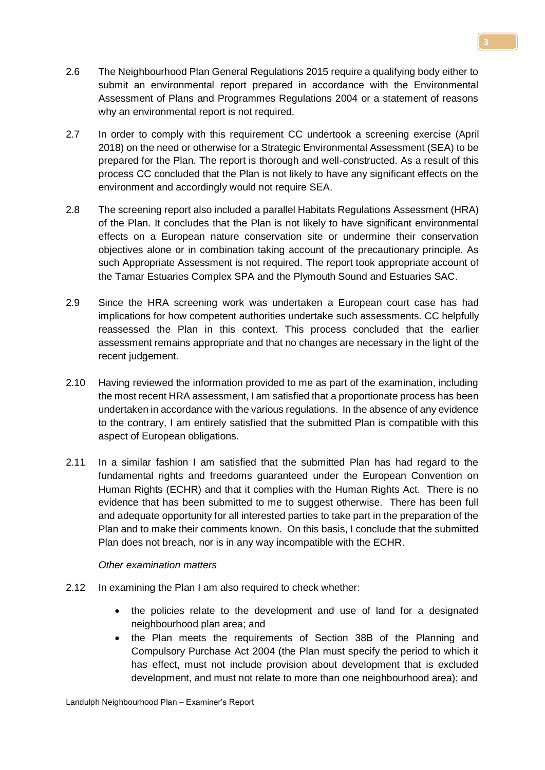- 2.6 The Neighbourhood Plan General Regulations 2015 require a qualifying body either to submit an environmental report prepared in accordance with the Environmental Assessment of Plans and Programmes Regulations 2004 or a statement of reasons why an environmental report is not required.
- 2.7 In order to comply with this requirement CC undertook a screening exercise (April 2018) on the need or otherwise for a Strategic Environmental Assessment (SEA) to be prepared for the Plan. The report is thorough and well-constructed. As a result of this process CC concluded that the Plan is not likely to have any significant effects on the environment and accordingly would not require SEA.
- 2.8 The screening report also included a parallel Habitats Regulations Assessment (HRA) of the Plan. It concludes that the Plan is not likely to have significant environmental effects on a European nature conservation site or undermine their conservation objectives alone or in combination taking account of the precautionary principle. As such Appropriate Assessment is not required. The report took appropriate account of the Tamar Estuaries Complex SPA and the Plymouth Sound and Estuaries SAC.
- 2.9 Since the HRA screening work was undertaken a European court case has had implications for how competent authorities undertake such assessments. CC helpfully reassessed the Plan in this context. This process concluded that the earlier assessment remains appropriate and that no changes are necessary in the light of the recent judgement.
- 2.10 Having reviewed the information provided to me as part of the examination, including the most recent HRA assessment, I am satisfied that a proportionate process has been undertaken in accordance with the various regulations. In the absence of any evidence to the contrary, I am entirely satisfied that the submitted Plan is compatible with this aspect of European obligations.
- 2.11 In a similar fashion I am satisfied that the submitted Plan has had regard to the fundamental rights and freedoms guaranteed under the European Convention on Human Rights (ECHR) and that it complies with the Human Rights Act. There is no evidence that has been submitted to me to suggest otherwise. There has been full and adequate opportunity for all interested parties to take part in the preparation of the Plan and to make their comments known. On this basis, I conclude that the submitted Plan does not breach, nor is in any way incompatible with the ECHR.

# *Other examination matters*

- 2.12 In examining the Plan I am also required to check whether:
	- the policies relate to the development and use of land for a designated neighbourhood plan area; and
	- the Plan meets the requirements of Section 38B of the Planning and Compulsory Purchase Act 2004 (the Plan must specify the period to which it has effect, must not include provision about development that is excluded development, and must not relate to more than one neighbourhood area); and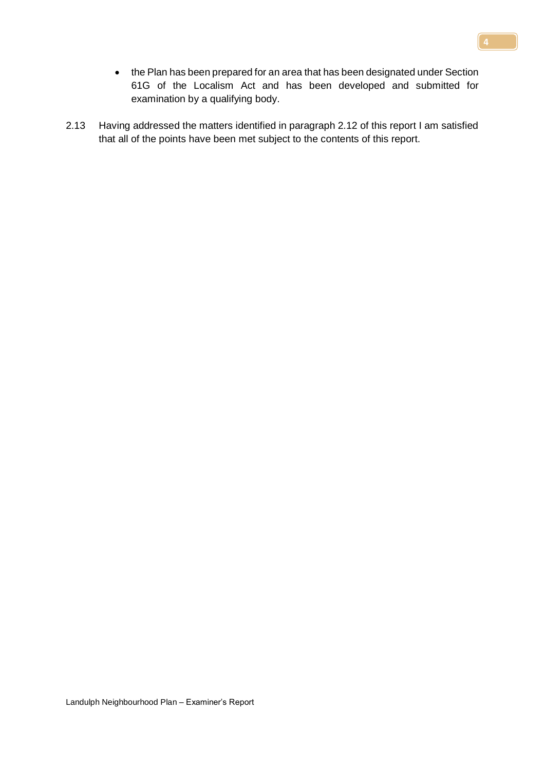- the Plan has been prepared for an area that has been designated under Section 61G of the Localism Act and has been developed and submitted for examination by a qualifying body.
- 2.13 Having addressed the matters identified in paragraph 2.12 of this report I am satisfied that all of the points have been met subject to the contents of this report.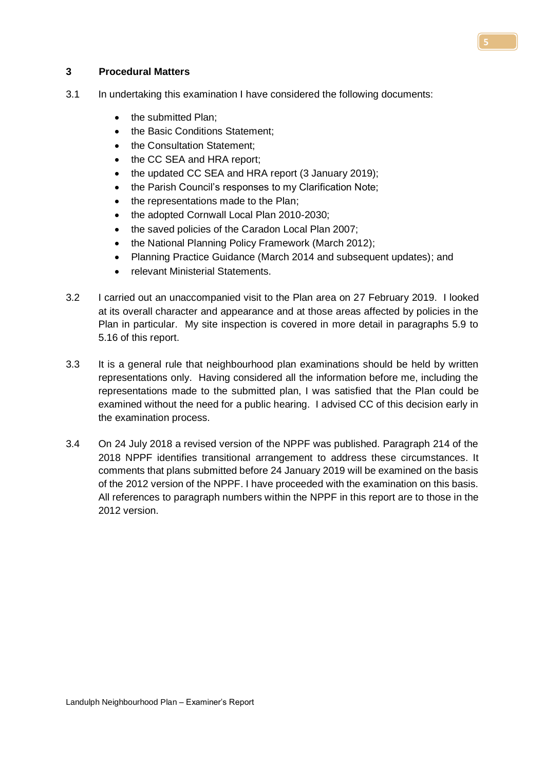#### **3 Procedural Matters**

- 3.1 In undertaking this examination I have considered the following documents:
	- the submitted Plan;
	- the Basic Conditions Statement;
	- the Consultation Statement;
	- the CC SEA and HRA report:
	- the updated CC SEA and HRA report (3 January 2019);
	- the Parish Council's responses to my Clarification Note;
	- the representations made to the Plan;
	- the adopted Cornwall Local Plan 2010-2030;
	- the saved policies of the Caradon Local Plan 2007;
	- the National Planning Policy Framework (March 2012);
	- Planning Practice Guidance (March 2014 and subsequent updates); and
	- relevant Ministerial Statements.
- 3.2 I carried out an unaccompanied visit to the Plan area on 27 February 2019. I looked at its overall character and appearance and at those areas affected by policies in the Plan in particular. My site inspection is covered in more detail in paragraphs 5.9 to 5.16 of this report.
- 3.3 It is a general rule that neighbourhood plan examinations should be held by written representations only. Having considered all the information before me, including the representations made to the submitted plan, I was satisfied that the Plan could be examined without the need for a public hearing. I advised CC of this decision early in the examination process.
- 3.4 On 24 July 2018 a revised version of the NPPF was published. Paragraph 214 of the 2018 NPPF identifies transitional arrangement to address these circumstances. It comments that plans submitted before 24 January 2019 will be examined on the basis of the 2012 version of the NPPF. I have proceeded with the examination on this basis. All references to paragraph numbers within the NPPF in this report are to those in the 2012 version.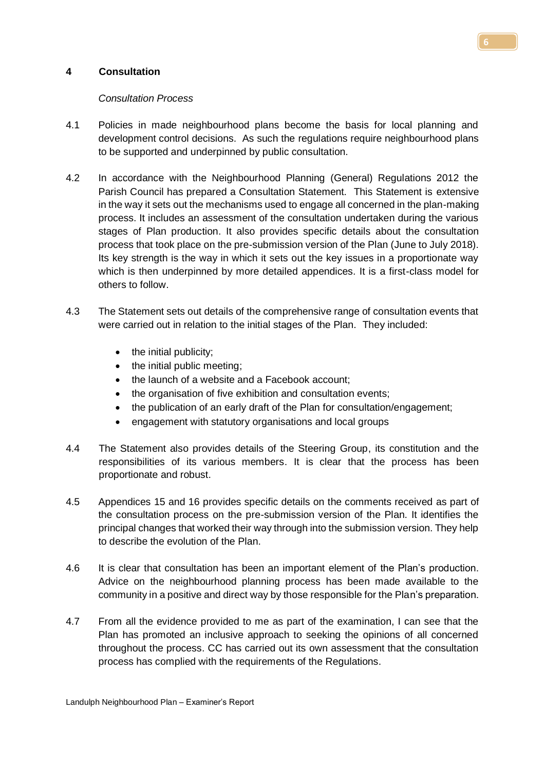# **4 Consultation**

## *Consultation Process*

- 4.1 Policies in made neighbourhood plans become the basis for local planning and development control decisions. As such the regulations require neighbourhood plans to be supported and underpinned by public consultation.
- 4.2 In accordance with the Neighbourhood Planning (General) Regulations 2012 the Parish Council has prepared a Consultation Statement. This Statement is extensive in the way it sets out the mechanisms used to engage all concerned in the plan-making process. It includes an assessment of the consultation undertaken during the various stages of Plan production. It also provides specific details about the consultation process that took place on the pre-submission version of the Plan (June to July 2018). Its key strength is the way in which it sets out the key issues in a proportionate way which is then underpinned by more detailed appendices. It is a first-class model for others to follow.
- 4.3 The Statement sets out details of the comprehensive range of consultation events that were carried out in relation to the initial stages of the Plan. They included:
	- the initial publicity;
	- the initial public meeting;
	- the launch of a website and a Facebook account;
	- the organisation of five exhibition and consultation events;
	- the publication of an early draft of the Plan for consultation/engagement;
	- engagement with statutory organisations and local groups
- 4.4 The Statement also provides details of the Steering Group, its constitution and the responsibilities of its various members. It is clear that the process has been proportionate and robust.
- 4.5 Appendices 15 and 16 provides specific details on the comments received as part of the consultation process on the pre-submission version of the Plan. It identifies the principal changes that worked their way through into the submission version. They help to describe the evolution of the Plan.
- 4.6 It is clear that consultation has been an important element of the Plan's production. Advice on the neighbourhood planning process has been made available to the community in a positive and direct way by those responsible for the Plan's preparation.
- 4.7 From all the evidence provided to me as part of the examination, I can see that the Plan has promoted an inclusive approach to seeking the opinions of all concerned throughout the process. CC has carried out its own assessment that the consultation process has complied with the requirements of the Regulations.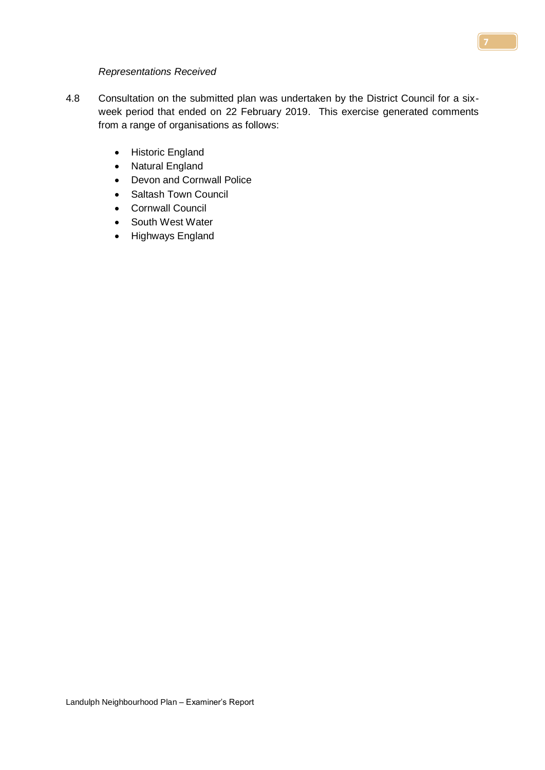#### *Representations Received*

- 4.8 Consultation on the submitted plan was undertaken by the District Council for a sixweek period that ended on 22 February 2019. This exercise generated comments from a range of organisations as follows:
	- Historic England
	- Natural England
	- Devon and Cornwall Police
	- Saltash Town Council
	- Cornwall Council
	- South West Water
	- Highways England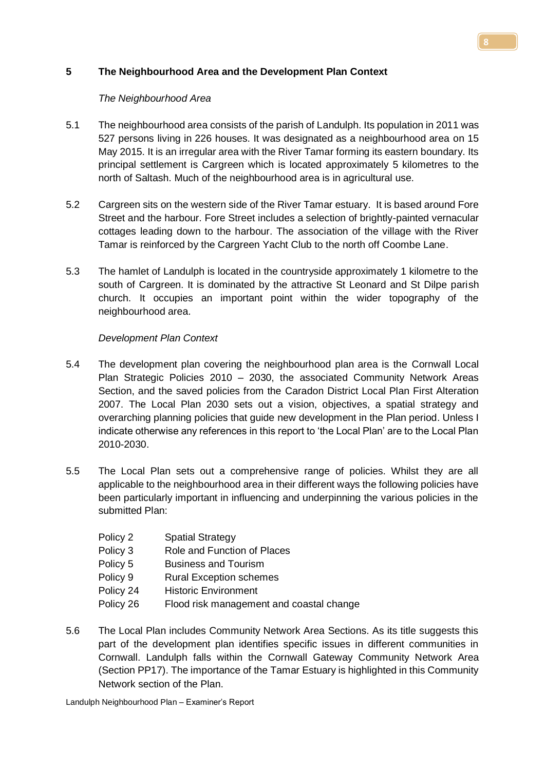# **5 The Neighbourhood Area and the Development Plan Context**

# *The Neighbourhood Area*

- 5.1 The neighbourhood area consists of the parish of Landulph. Its population in 2011 was 527 persons living in 226 houses. It was designated as a neighbourhood area on 15 May 2015. It is an irregular area with the River Tamar forming its eastern boundary. Its principal settlement is Cargreen which is located approximately 5 kilometres to the north of Saltash. Much of the neighbourhood area is in agricultural use.
- 5.2 Cargreen sits on the western side of the River Tamar estuary. It is based around Fore Street and the harbour. Fore Street includes a selection of brightly-painted vernacular cottages leading down to the harbour. The association of the village with the River Tamar is reinforced by the Cargreen Yacht Club to the north off Coombe Lane.
- 5.3 The hamlet of Landulph is located in the countryside approximately 1 kilometre to the south of Cargreen. It is dominated by the attractive St Leonard and St Dilpe parish church. It occupies an important point within the wider topography of the neighbourhood area.

# *Development Plan Context*

- 5.4 The development plan covering the neighbourhood plan area is the Cornwall Local Plan Strategic Policies 2010 – 2030, the associated Community Network Areas Section, and the saved policies from the Caradon District Local Plan First Alteration 2007. The Local Plan 2030 sets out a vision, objectives, a spatial strategy and overarching planning policies that guide new development in the Plan period. Unless I indicate otherwise any references in this report to 'the Local Plan' are to the Local Plan 2010-2030.
- 5.5 The Local Plan sets out a comprehensive range of policies. Whilst they are all applicable to the neighbourhood area in their different ways the following policies have been particularly important in influencing and underpinning the various policies in the submitted Plan:
	- Policy 2 Spatial Strategy
	- Policy 3 Role and Function of Places
	- Policy 5 Business and Tourism
	- Policy 9 Rural Exception schemes
	- Policy 24 Historic Environment
	- Policy 26 Flood risk management and coastal change
- 5.6 The Local Plan includes Community Network Area Sections. As its title suggests this part of the development plan identifies specific issues in different communities in Cornwall. Landulph falls within the Cornwall Gateway Community Network Area (Section PP17). The importance of the Tamar Estuary is highlighted in this Community Network section of the Plan.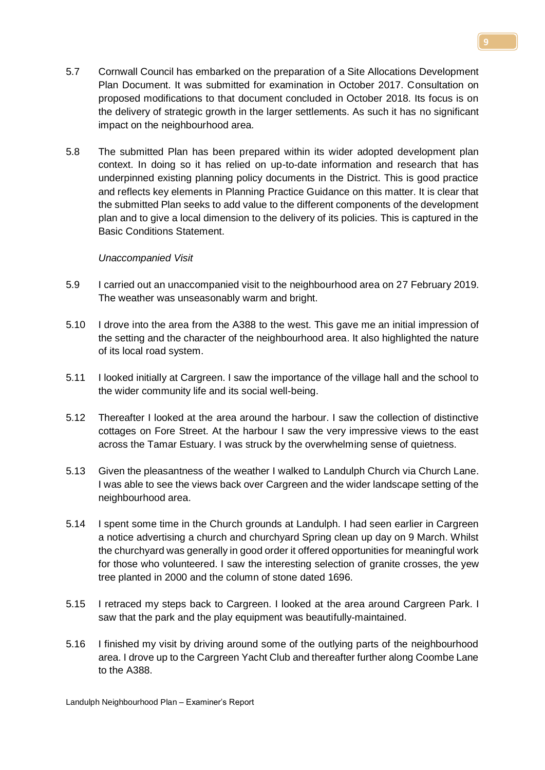- 5.7 Cornwall Council has embarked on the preparation of a Site Allocations Development Plan Document. It was submitted for examination in October 2017. Consultation on proposed modifications to that document concluded in October 2018. Its focus is on the delivery of strategic growth in the larger settlements. As such it has no significant impact on the neighbourhood area.
- 5.8 The submitted Plan has been prepared within its wider adopted development plan context. In doing so it has relied on up-to-date information and research that has underpinned existing planning policy documents in the District. This is good practice and reflects key elements in Planning Practice Guidance on this matter. It is clear that the submitted Plan seeks to add value to the different components of the development plan and to give a local dimension to the delivery of its policies. This is captured in the Basic Conditions Statement.

#### *Unaccompanied Visit*

- 5.9 I carried out an unaccompanied visit to the neighbourhood area on 27 February 2019. The weather was unseasonably warm and bright.
- 5.10 I drove into the area from the A388 to the west. This gave me an initial impression of the setting and the character of the neighbourhood area. It also highlighted the nature of its local road system.
- 5.11 I looked initially at Cargreen. I saw the importance of the village hall and the school to the wider community life and its social well-being.
- 5.12 Thereafter I looked at the area around the harbour. I saw the collection of distinctive cottages on Fore Street. At the harbour I saw the very impressive views to the east across the Tamar Estuary. I was struck by the overwhelming sense of quietness.
- 5.13 Given the pleasantness of the weather I walked to Landulph Church via Church Lane. I was able to see the views back over Cargreen and the wider landscape setting of the neighbourhood area.
- 5.14 I spent some time in the Church grounds at Landulph. I had seen earlier in Cargreen a notice advertising a church and churchyard Spring clean up day on 9 March. Whilst the churchyard was generally in good order it offered opportunities for meaningful work for those who volunteered. I saw the interesting selection of granite crosses, the yew tree planted in 2000 and the column of stone dated 1696.
- 5.15 I retraced my steps back to Cargreen. I looked at the area around Cargreen Park. I saw that the park and the play equipment was beautifully-maintained.
- 5.16 I finished my visit by driving around some of the outlying parts of the neighbourhood area. I drove up to the Cargreen Yacht Club and thereafter further along Coombe Lane to the A388.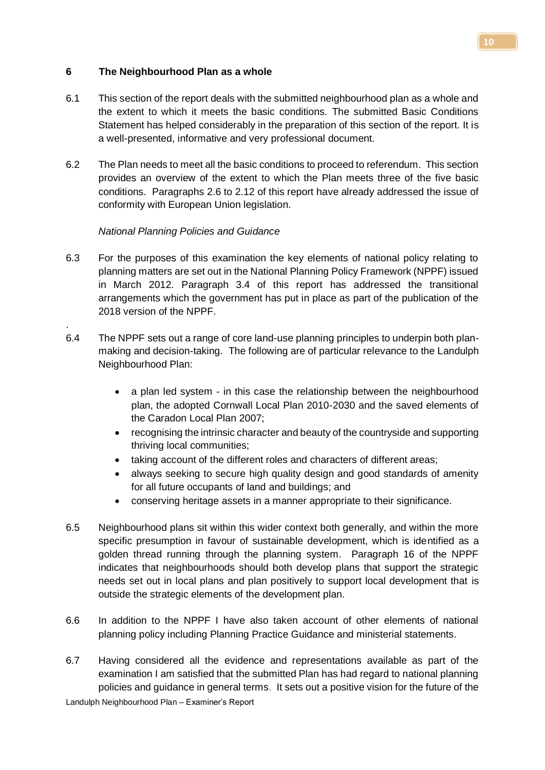# **6 The Neighbourhood Plan as a whole**

- 6.1 This section of the report deals with the submitted neighbourhood plan as a whole and the extent to which it meets the basic conditions. The submitted Basic Conditions Statement has helped considerably in the preparation of this section of the report. It is a well-presented, informative and very professional document.
- 6.2 The Plan needs to meet all the basic conditions to proceed to referendum. This section provides an overview of the extent to which the Plan meets three of the five basic conditions. Paragraphs 2.6 to 2.12 of this report have already addressed the issue of conformity with European Union legislation.

# *National Planning Policies and Guidance*

.

- 6.3 For the purposes of this examination the key elements of national policy relating to planning matters are set out in the National Planning Policy Framework (NPPF) issued in March 2012. Paragraph 3.4 of this report has addressed the transitional arrangements which the government has put in place as part of the publication of the 2018 version of the NPPF.
- 6.4 The NPPF sets out a range of core land-use planning principles to underpin both planmaking and decision-taking. The following are of particular relevance to the Landulph Neighbourhood Plan:
	- a plan led system in this case the relationship between the neighbourhood plan, the adopted Cornwall Local Plan 2010-2030 and the saved elements of the Caradon Local Plan 2007;
	- recognising the intrinsic character and beauty of the countryside and supporting thriving local communities;
	- taking account of the different roles and characters of different areas;
	- always seeking to secure high quality design and good standards of amenity for all future occupants of land and buildings; and
	- conserving heritage assets in a manner appropriate to their significance.
- 6.5 Neighbourhood plans sit within this wider context both generally, and within the more specific presumption in favour of sustainable development, which is identified as a golden thread running through the planning system. Paragraph 16 of the NPPF indicates that neighbourhoods should both develop plans that support the strategic needs set out in local plans and plan positively to support local development that is outside the strategic elements of the development plan.
- 6.6 In addition to the NPPF I have also taken account of other elements of national planning policy including Planning Practice Guidance and ministerial statements.
- 6.7 Having considered all the evidence and representations available as part of the examination I am satisfied that the submitted Plan has had regard to national planning policies and guidance in general terms. It sets out a positive vision for the future of the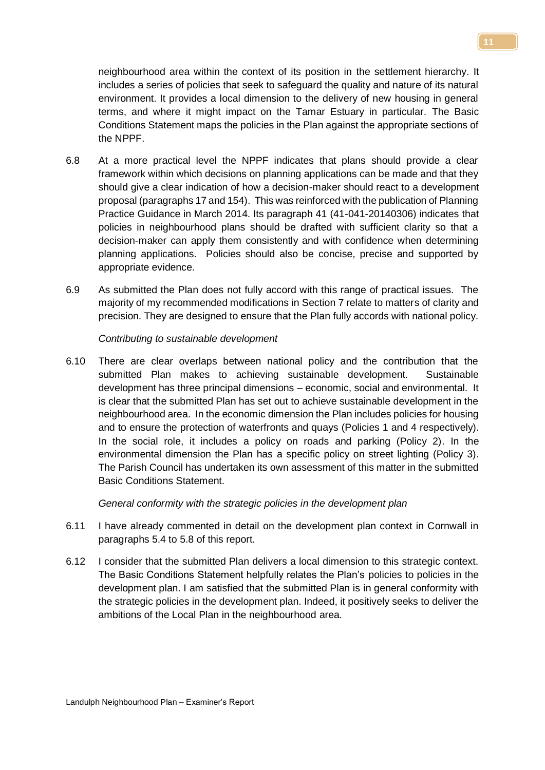neighbourhood area within the context of its position in the settlement hierarchy. It includes a series of policies that seek to safeguard the quality and nature of its natural environment. It provides a local dimension to the delivery of new housing in general terms, and where it might impact on the Tamar Estuary in particular. The Basic Conditions Statement maps the policies in the Plan against the appropriate sections of the NPPF.

- 6.8 At a more practical level the NPPF indicates that plans should provide a clear framework within which decisions on planning applications can be made and that they should give a clear indication of how a decision-maker should react to a development proposal (paragraphs 17 and 154). This was reinforced with the publication of Planning Practice Guidance in March 2014. Its paragraph 41 (41-041-20140306) indicates that policies in neighbourhood plans should be drafted with sufficient clarity so that a decision-maker can apply them consistently and with confidence when determining planning applications. Policies should also be concise, precise and supported by appropriate evidence.
- 6.9 As submitted the Plan does not fully accord with this range of practical issues. The majority of my recommended modifications in Section 7 relate to matters of clarity and precision. They are designed to ensure that the Plan fully accords with national policy.

*Contributing to sustainable development*

6.10 There are clear overlaps between national policy and the contribution that the submitted Plan makes to achieving sustainable development. Sustainable development has three principal dimensions – economic, social and environmental. It is clear that the submitted Plan has set out to achieve sustainable development in the neighbourhood area. In the economic dimension the Plan includes policies for housing and to ensure the protection of waterfronts and quays (Policies 1 and 4 respectively). In the social role, it includes a policy on roads and parking (Policy 2). In the environmental dimension the Plan has a specific policy on street lighting (Policy 3). The Parish Council has undertaken its own assessment of this matter in the submitted Basic Conditions Statement.

*General conformity with the strategic policies in the development plan*

- 6.11 I have already commented in detail on the development plan context in Cornwall in paragraphs 5.4 to 5.8 of this report.
- 6.12 I consider that the submitted Plan delivers a local dimension to this strategic context. The Basic Conditions Statement helpfully relates the Plan's policies to policies in the development plan. I am satisfied that the submitted Plan is in general conformity with the strategic policies in the development plan. Indeed, it positively seeks to deliver the ambitions of the Local Plan in the neighbourhood area.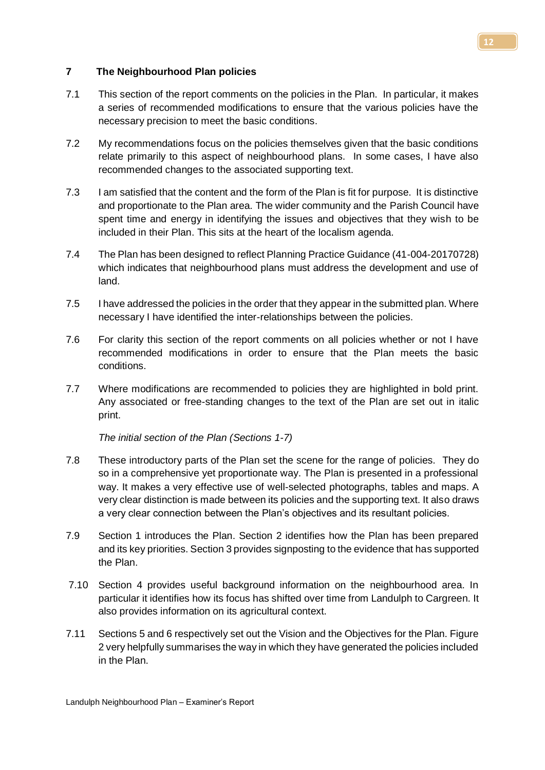# **7 The Neighbourhood Plan policies**

- 7.1 This section of the report comments on the policies in the Plan. In particular, it makes a series of recommended modifications to ensure that the various policies have the necessary precision to meet the basic conditions.
- 7.2 My recommendations focus on the policies themselves given that the basic conditions relate primarily to this aspect of neighbourhood plans. In some cases, I have also recommended changes to the associated supporting text.
- 7.3 I am satisfied that the content and the form of the Plan is fit for purpose. It is distinctive and proportionate to the Plan area. The wider community and the Parish Council have spent time and energy in identifying the issues and objectives that they wish to be included in their Plan. This sits at the heart of the localism agenda.
- 7.4 The Plan has been designed to reflect Planning Practice Guidance (41-004-20170728) which indicates that neighbourhood plans must address the development and use of land.
- 7.5 I have addressed the policies in the order that they appear in the submitted plan. Where necessary I have identified the inter-relationships between the policies.
- 7.6 For clarity this section of the report comments on all policies whether or not I have recommended modifications in order to ensure that the Plan meets the basic conditions.
- 7.7 Where modifications are recommended to policies they are highlighted in bold print. Any associated or free-standing changes to the text of the Plan are set out in italic print.

*The initial section of the Plan (Sections 1-7)*

- 7.8 These introductory parts of the Plan set the scene for the range of policies. They do so in a comprehensive yet proportionate way. The Plan is presented in a professional way. It makes a very effective use of well-selected photographs, tables and maps. A very clear distinction is made between its policies and the supporting text. It also draws a very clear connection between the Plan's objectives and its resultant policies.
- 7.9 Section 1 introduces the Plan. Section 2 identifies how the Plan has been prepared and its key priorities. Section 3 provides signposting to the evidence that has supported the Plan.
- 7.10 Section 4 provides useful background information on the neighbourhood area. In particular it identifies how its focus has shifted over time from Landulph to Cargreen. It also provides information on its agricultural context.
- 7.11 Sections 5 and 6 respectively set out the Vision and the Objectives for the Plan. Figure 2 very helpfully summarises the way in which they have generated the policies included in the Plan.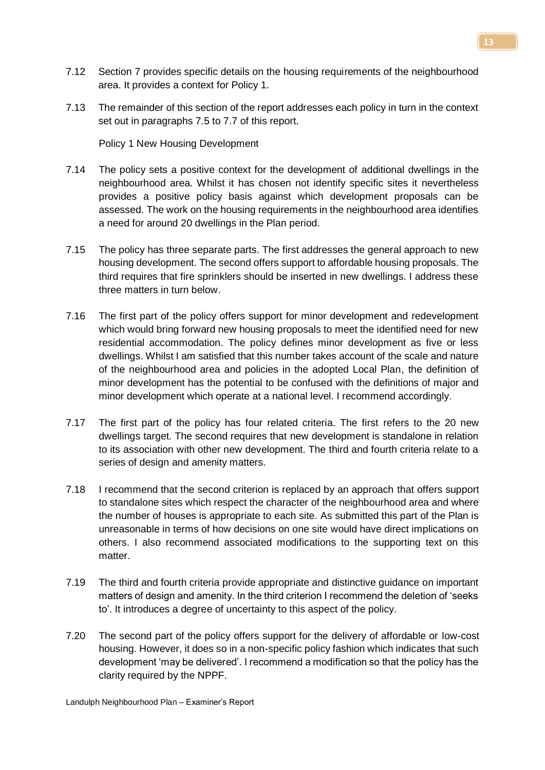- 7.12 Section 7 provides specific details on the housing requirements of the neighbourhood area. It provides a context for Policy 1.
- 7.13 The remainder of this section of the report addresses each policy in turn in the context set out in paragraphs 7.5 to 7.7 of this report.

Policy 1 New Housing Development

- 7.14 The policy sets a positive context for the development of additional dwellings in the neighbourhood area. Whilst it has chosen not identify specific sites it nevertheless provides a positive policy basis against which development proposals can be assessed. The work on the housing requirements in the neighbourhood area identifies a need for around 20 dwellings in the Plan period.
- 7.15 The policy has three separate parts. The first addresses the general approach to new housing development. The second offers support to affordable housing proposals. The third requires that fire sprinklers should be inserted in new dwellings. I address these three matters in turn below.
- 7.16 The first part of the policy offers support for minor development and redevelopment which would bring forward new housing proposals to meet the identified need for new residential accommodation. The policy defines minor development as five or less dwellings. Whilst I am satisfied that this number takes account of the scale and nature of the neighbourhood area and policies in the adopted Local Plan, the definition of minor development has the potential to be confused with the definitions of major and minor development which operate at a national level. I recommend accordingly.
- 7.17 The first part of the policy has four related criteria. The first refers to the 20 new dwellings target. The second requires that new development is standalone in relation to its association with other new development. The third and fourth criteria relate to a series of design and amenity matters.
- 7.18 I recommend that the second criterion is replaced by an approach that offers support to standalone sites which respect the character of the neighbourhood area and where the number of houses is appropriate to each site. As submitted this part of the Plan is unreasonable in terms of how decisions on one site would have direct implications on others. I also recommend associated modifications to the supporting text on this matter
- 7.19 The third and fourth criteria provide appropriate and distinctive guidance on important matters of design and amenity. In the third criterion I recommend the deletion of 'seeks to'. It introduces a degree of uncertainty to this aspect of the policy.
- 7.20 The second part of the policy offers support for the delivery of affordable or low-cost housing. However, it does so in a non-specific policy fashion which indicates that such development 'may be delivered'. I recommend a modification so that the policy has the clarity required by the NPPF.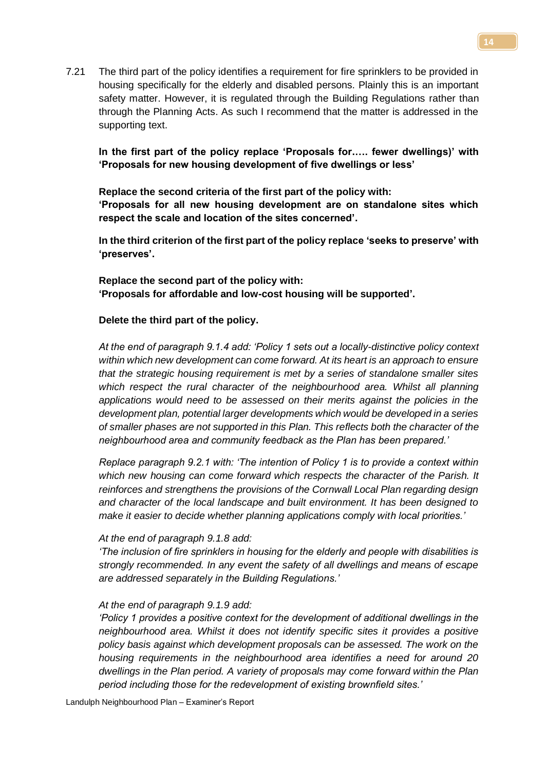7.21 The third part of the policy identifies a requirement for fire sprinklers to be provided in housing specifically for the elderly and disabled persons. Plainly this is an important safety matter. However, it is regulated through the Building Regulations rather than through the Planning Acts. As such I recommend that the matter is addressed in the supporting text.

**In the first part of the policy replace 'Proposals for.…. fewer dwellings)' with 'Proposals for new housing development of five dwellings or less'**

**Replace the second criteria of the first part of the policy with: 'Proposals for all new housing development are on standalone sites which respect the scale and location of the sites concerned'.**

**In the third criterion of the first part of the policy replace 'seeks to preserve' with 'preserves'.**

**Replace the second part of the policy with: 'Proposals for affordable and low-cost housing will be supported'.**

#### **Delete the third part of the policy.**

*At the end of paragraph 9.1.4 add: 'Policy 1 sets out a locally-distinctive policy context within which new development can come forward. At its heart is an approach to ensure that the strategic housing requirement is met by a series of standalone smaller sites which respect the rural character of the neighbourhood area. Whilst all planning applications would need to be assessed on their merits against the policies in the development plan, potential larger developments which would be developed in a series of smaller phases are not supported in this Plan. This reflects both the character of the neighbourhood area and community feedback as the Plan has been prepared.'*

*Replace paragraph 9.2.1 with: 'The intention of Policy 1 is to provide a context within which new housing can come forward which respects the character of the Parish. It reinforces and strengthens the provisions of the Cornwall Local Plan regarding design and character of the local landscape and built environment. It has been designed to make it easier to decide whether planning applications comply with local priorities.'*

#### *At the end of paragraph 9.1.8 add:*

*'The inclusion of fire sprinklers in housing for the elderly and people with disabilities is strongly recommended. In any event the safety of all dwellings and means of escape are addressed separately in the Building Regulations.'* 

#### *At the end of paragraph 9.1.9 add:*

*'Policy 1 provides a positive context for the development of additional dwellings in the neighbourhood area. Whilst it does not identify specific sites it provides a positive policy basis against which development proposals can be assessed. The work on the housing requirements in the neighbourhood area identifies a need for around 20 dwellings in the Plan period. A variety of proposals may come forward within the Plan period including those for the redevelopment of existing brownfield sites.'*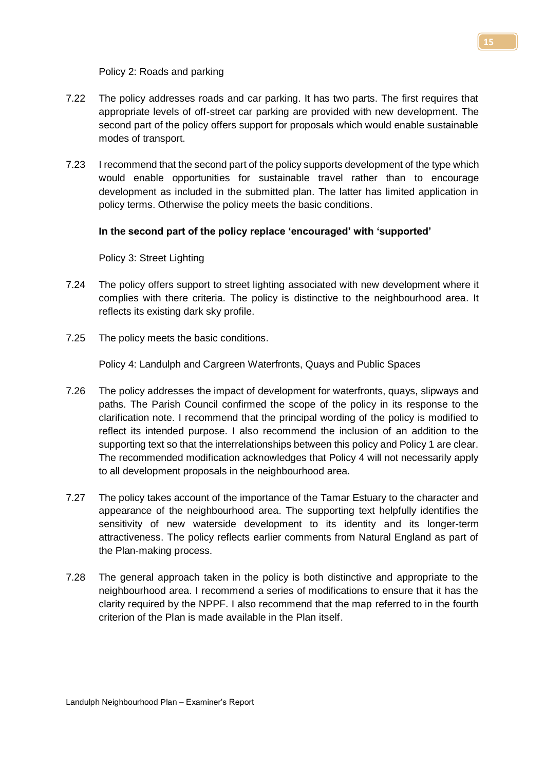Policy 2: Roads and parking

- 7.22 The policy addresses roads and car parking. It has two parts. The first requires that appropriate levels of off-street car parking are provided with new development. The second part of the policy offers support for proposals which would enable sustainable modes of transport.
- 7.23 I recommend that the second part of the policy supports development of the type which would enable opportunities for sustainable travel rather than to encourage development as included in the submitted plan. The latter has limited application in policy terms. Otherwise the policy meets the basic conditions.

# **In the second part of the policy replace 'encouraged' with 'supported'**

Policy 3: Street Lighting

- 7.24 The policy offers support to street lighting associated with new development where it complies with there criteria. The policy is distinctive to the neighbourhood area. It reflects its existing dark sky profile.
- 7.25 The policy meets the basic conditions.

Policy 4: Landulph and Cargreen Waterfronts, Quays and Public Spaces

- 7.26 The policy addresses the impact of development for waterfronts, quays, slipways and paths. The Parish Council confirmed the scope of the policy in its response to the clarification note. I recommend that the principal wording of the policy is modified to reflect its intended purpose. I also recommend the inclusion of an addition to the supporting text so that the interrelationships between this policy and Policy 1 are clear. The recommended modification acknowledges that Policy 4 will not necessarily apply to all development proposals in the neighbourhood area.
- 7.27 The policy takes account of the importance of the Tamar Estuary to the character and appearance of the neighbourhood area. The supporting text helpfully identifies the sensitivity of new waterside development to its identity and its longer-term attractiveness. The policy reflects earlier comments from Natural England as part of the Plan-making process.
- 7.28 The general approach taken in the policy is both distinctive and appropriate to the neighbourhood area. I recommend a series of modifications to ensure that it has the clarity required by the NPPF. I also recommend that the map referred to in the fourth criterion of the Plan is made available in the Plan itself.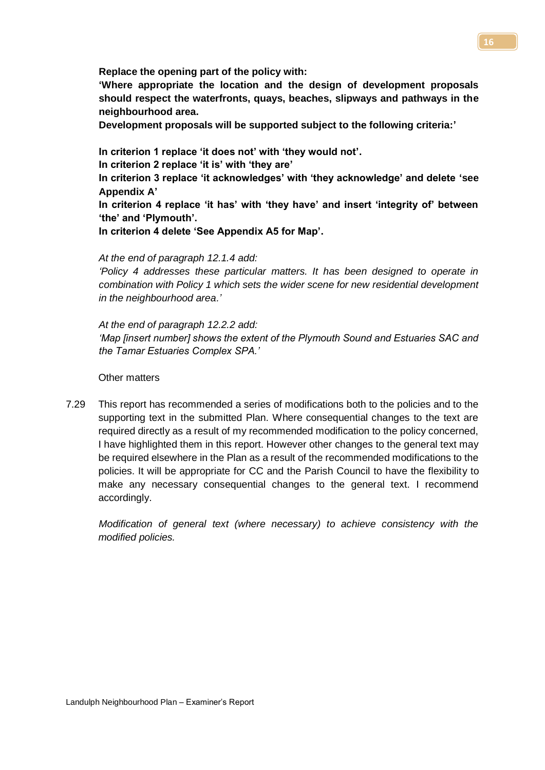**Replace the opening part of the policy with:**

**'Where appropriate the location and the design of development proposals should respect the waterfronts, quays, beaches, slipways and pathways in the neighbourhood area.**

**Development proposals will be supported subject to the following criteria:'**

**In criterion 1 replace 'it does not' with 'they would not'.**

**In criterion 2 replace 'it is' with 'they are'**

**In criterion 3 replace 'it acknowledges' with 'they acknowledge' and delete 'see Appendix A'**

**In criterion 4 replace 'it has' with 'they have' and insert 'integrity of' between 'the' and 'Plymouth'.**

**In criterion 4 delete 'See Appendix A5 for Map'.**

*At the end of paragraph 12.1.4 add:*

*'Policy 4 addresses these particular matters. It has been designed to operate in combination with Policy 1 which sets the wider scene for new residential development in the neighbourhood area.'*

*At the end of paragraph 12.2.2 add: 'Map [insert number] shows the extent of the Plymouth Sound and Estuaries SAC and the Tamar Estuaries Complex SPA.'*

Other matters

7.29 This report has recommended a series of modifications both to the policies and to the supporting text in the submitted Plan. Where consequential changes to the text are required directly as a result of my recommended modification to the policy concerned, I have highlighted them in this report. However other changes to the general text may be required elsewhere in the Plan as a result of the recommended modifications to the policies. It will be appropriate for CC and the Parish Council to have the flexibility to make any necessary consequential changes to the general text. I recommend accordingly.

*Modification of general text (where necessary) to achieve consistency with the modified policies.*